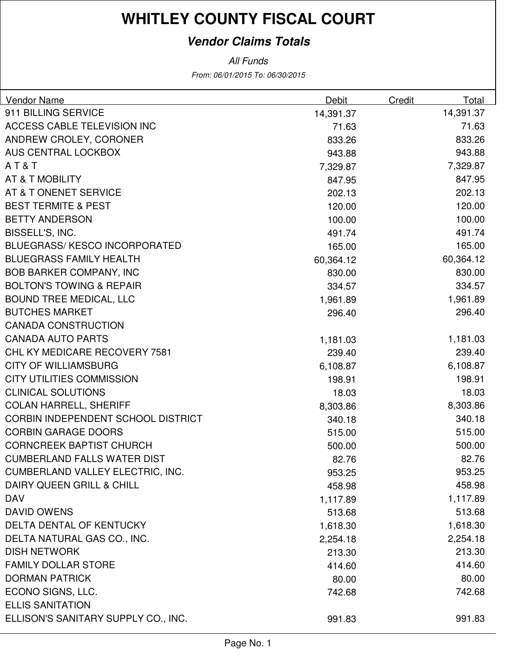### **Vendor Claims Totals**

From: 06/01/2015 To: 06/30/2015 All Funds

| Vendor Name                         | Debit     | Credit | Total     |
|-------------------------------------|-----------|--------|-----------|
| 911 BILLING SERVICE                 | 14,391.37 |        | 14,391.37 |
| ACCESS CABLE TELEVISION INC         | 71.63     |        | 71.63     |
| ANDREW CROLEY, CORONER              | 833.26    |        | 833.26    |
| AUS CENTRAL LOCKBOX                 | 943.88    |        | 943.88    |
| AT&T                                | 7,329.87  |        | 7,329.87  |
| AT & T MOBILITY                     | 847.95    |        | 847.95    |
| AT & T ONENET SERVICE               | 202.13    |        | 202.13    |
| <b>BEST TERMITE &amp; PEST</b>      | 120.00    |        | 120.00    |
| <b>BETTY ANDERSON</b>               | 100.00    |        | 100.00    |
| BISSELL'S, INC.                     | 491.74    |        | 491.74    |
| <b>BLUEGRASS/KESCO INCORPORATED</b> | 165.00    |        | 165.00    |
| <b>BLUEGRASS FAMILY HEALTH</b>      | 60,364.12 |        | 60,364.12 |
| <b>BOB BARKER COMPANY, INC</b>      | 830.00    |        | 830.00    |
| <b>BOLTON'S TOWING &amp; REPAIR</b> | 334.57    |        | 334.57    |
| <b>BOUND TREE MEDICAL, LLC</b>      | 1,961.89  |        | 1,961.89  |
| <b>BUTCHES MARKET</b>               | 296.40    |        | 296.40    |
| <b>CANADA CONSTRUCTION</b>          |           |        |           |
| <b>CANADA AUTO PARTS</b>            | 1,181.03  |        | 1,181.03  |
| CHL KY MEDICARE RECOVERY 7581       | 239.40    |        | 239.40    |
| <b>CITY OF WILLIAMSBURG</b>         | 6,108.87  |        | 6,108.87  |
| <b>CITY UTILITIES COMMISSION</b>    | 198.91    |        | 198.91    |
| <b>CLINICAL SOLUTIONS</b>           | 18.03     |        | 18.03     |
| <b>COLAN HARRELL, SHERIFF</b>       | 8,303.86  |        | 8,303.86  |
| CORBIN INDEPENDENT SCHOOL DISTRICT  | 340.18    |        | 340.18    |
| <b>CORBIN GARAGE DOORS</b>          | 515.00    |        | 515.00    |
| <b>CORNCREEK BAPTIST CHURCH</b>     | 500.00    |        | 500.00    |
| <b>CUMBERLAND FALLS WATER DIST</b>  | 82.76     |        | 82.76     |
| CUMBERLAND VALLEY ELECTRIC, INC.    | 953.25    |        | 953.25    |
| DAIRY QUEEN GRILL & CHILL           | 458.98    |        | 458.98    |
| <b>DAV</b>                          | 1,117.89  |        | 1,117.89  |
| <b>DAVID OWENS</b>                  | 513.68    |        | 513.68    |
| DELTA DENTAL OF KENTUCKY            | 1,618.30  |        | 1,618.30  |
| DELTA NATURAL GAS CO., INC.         | 2,254.18  |        | 2,254.18  |
| <b>DISH NETWORK</b>                 | 213.30    |        | 213.30    |
| <b>FAMILY DOLLAR STORE</b>          | 414.60    |        | 414.60    |
| <b>DORMAN PATRICK</b>               | 80.00     |        | 80.00     |
| ECONO SIGNS, LLC.                   | 742.68    |        | 742.68    |
| <b>ELLIS SANITATION</b>             |           |        |           |
| ELLISON'S SANITARY SUPPLY CO., INC. | 991.83    |        | 991.83    |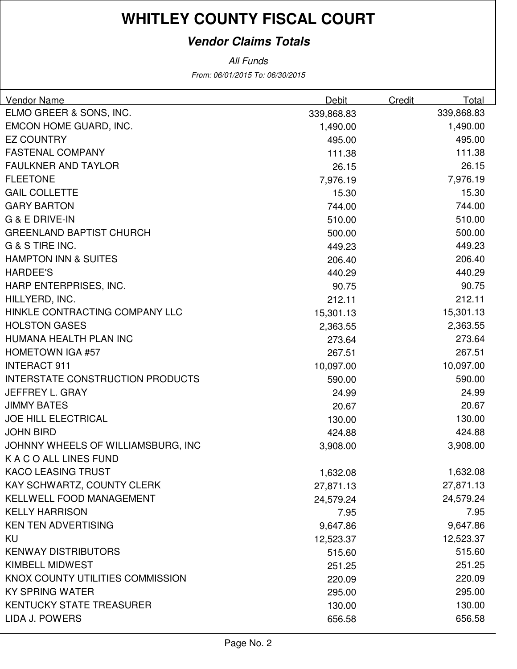### **Vendor Claims Totals**

From: 06/01/2015 To: 06/30/2015 All Funds

| <b>Vendor Name</b>                      | <b>Debit</b> | Credit | Total      |
|-----------------------------------------|--------------|--------|------------|
| ELMO GREER & SONS, INC.                 | 339,868.83   |        | 339,868.83 |
| EMCON HOME GUARD, INC.                  | 1,490.00     |        | 1,490.00   |
| <b>EZ COUNTRY</b>                       | 495.00       |        | 495.00     |
| <b>FASTENAL COMPANY</b>                 | 111.38       |        | 111.38     |
| <b>FAULKNER AND TAYLOR</b>              | 26.15        |        | 26.15      |
| <b>FLEETONE</b>                         | 7,976.19     |        | 7,976.19   |
| <b>GAIL COLLETTE</b>                    | 15.30        |        | 15.30      |
| <b>GARY BARTON</b>                      | 744.00       |        | 744.00     |
| <b>G &amp; E DRIVE-IN</b>               | 510.00       |        | 510.00     |
| <b>GREENLAND BAPTIST CHURCH</b>         | 500.00       |        | 500.00     |
| G & S TIRE INC.                         | 449.23       |        | 449.23     |
| <b>HAMPTON INN &amp; SUITES</b>         | 206.40       |        | 206.40     |
| <b>HARDEE'S</b>                         | 440.29       |        | 440.29     |
| HARP ENTERPRISES, INC.                  | 90.75        |        | 90.75      |
| HILLYERD, INC.                          | 212.11       |        | 212.11     |
| HINKLE CONTRACTING COMPANY LLC          | 15,301.13    |        | 15,301.13  |
| <b>HOLSTON GASES</b>                    | 2,363.55     |        | 2,363.55   |
| HUMANA HEALTH PLAN INC                  | 273.64       |        | 273.64     |
| <b>HOMETOWN IGA #57</b>                 | 267.51       |        | 267.51     |
| <b>INTERACT 911</b>                     | 10,097.00    |        | 10,097.00  |
| <b>INTERSTATE CONSTRUCTION PRODUCTS</b> | 590.00       |        | 590.00     |
| JEFFREY L. GRAY                         | 24.99        |        | 24.99      |
| <b>JIMMY BATES</b>                      | 20.67        |        | 20.67      |
| <b>JOE HILL ELECTRICAL</b>              | 130.00       |        | 130.00     |
| <b>JOHN BIRD</b>                        | 424.88       |        | 424.88     |
| JOHNNY WHEELS OF WILLIAMSBURG, INC      | 3,908.00     |        | 3,908.00   |
| K A C O ALL LINES FUND                  |              |        |            |
| <b>KACO LEASING TRUST</b>               | 1,632.08     |        | 1,632.08   |
| KAY SCHWARTZ, COUNTY CLERK              | 27,871.13    |        | 27,871.13  |
| KELLWELL FOOD MANAGEMENT                | 24,579.24    |        | 24,579.24  |
| <b>KELLY HARRISON</b>                   | 7.95         |        | 7.95       |
| <b>KEN TEN ADVERTISING</b>              | 9,647.86     |        | 9,647.86   |
| KU                                      | 12,523.37    |        | 12,523.37  |
| <b>KENWAY DISTRIBUTORS</b>              | 515.60       |        | 515.60     |
| KIMBELL MIDWEST                         | 251.25       |        | 251.25     |
| KNOX COUNTY UTILITIES COMMISSION        | 220.09       |        | 220.09     |
| <b>KY SPRING WATER</b>                  | 295.00       |        | 295.00     |
| <b>KENTUCKY STATE TREASURER</b>         | 130.00       |        | 130.00     |
| LIDA J. POWERS                          | 656.58       |        | 656.58     |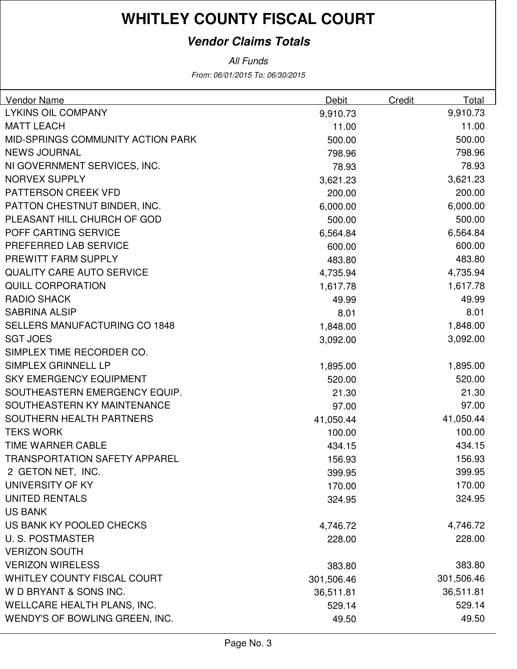### **Vendor Claims Totals**

From: 06/01/2015 To: 06/30/2015 All Funds

| <b>Vendor Name</b>                   | Debit      | Credit | Total      |
|--------------------------------------|------------|--------|------------|
| <b>LYKINS OIL COMPANY</b>            | 9,910.73   |        | 9,910.73   |
| <b>MATT LEACH</b>                    | 11.00      |        | 11.00      |
| MID-SPRINGS COMMUNITY ACTION PARK    | 500.00     |        | 500.00     |
| <b>NEWS JOURNAL</b>                  | 798.96     |        | 798.96     |
| NI GOVERNMENT SERVICES, INC.         | 78.93      |        | 78.93      |
| <b>NORVEX SUPPLY</b>                 | 3,621.23   |        | 3,621.23   |
| PATTERSON CREEK VFD                  | 200.00     |        | 200.00     |
| PATTON CHESTNUT BINDER, INC.         | 6,000.00   |        | 6,000.00   |
| PLEASANT HILL CHURCH OF GOD          | 500.00     |        | 500.00     |
| POFF CARTING SERVICE                 | 6,564.84   |        | 6,564.84   |
| PREFERRED LAB SERVICE                | 600.00     |        | 600.00     |
| PREWITT FARM SUPPLY                  | 483.80     |        | 483.80     |
| <b>QUALITY CARE AUTO SERVICE</b>     | 4,735.94   |        | 4,735.94   |
| <b>QUILL CORPORATION</b>             | 1,617.78   |        | 1,617.78   |
| <b>RADIO SHACK</b>                   | 49.99      |        | 49.99      |
| <b>SABRINA ALSIP</b>                 | 8.01       |        | 8.01       |
| <b>SELLERS MANUFACTURING CO 1848</b> | 1,848.00   |        | 1,848.00   |
| <b>SGT JOES</b>                      | 3,092.00   |        | 3,092.00   |
| SIMPLEX TIME RECORDER CO.            |            |        |            |
| SIMPLEX GRINNELL LP                  | 1,895.00   |        | 1,895.00   |
| <b>SKY EMERGENCY EQUIPMENT</b>       | 520.00     |        | 520.00     |
| SOUTHEASTERN EMERGENCY EQUIP.        | 21.30      |        | 21.30      |
| SOUTHEASTERN KY MAINTENANCE          | 97.00      |        | 97.00      |
| SOUTHERN HEALTH PARTNERS             | 41,050.44  |        | 41,050.44  |
| <b>TEKS WORK</b>                     | 100.00     |        | 100.00     |
| TIME WARNER CABLE                    | 434.15     |        | 434.15     |
| <b>TRANSPORTATION SAFETY APPAREL</b> | 156.93     |        | 156.93     |
| 2 GETON NET, INC.                    | 399.95     |        | 399.95     |
| UNIVERSITY OF KY                     | 170.00     |        | 170.00     |
| <b>UNITED RENTALS</b>                | 324.95     |        | 324.95     |
| <b>US BANK</b>                       |            |        |            |
| US BANK KY POOLED CHECKS             | 4,746.72   |        | 4,746.72   |
| <b>U.S. POSTMASTER</b>               | 228.00     |        | 228.00     |
| <b>VERIZON SOUTH</b>                 |            |        |            |
| <b>VERIZON WIRELESS</b>              | 383.80     |        | 383.80     |
| <b>WHITLEY COUNTY FISCAL COURT</b>   | 301,506.46 |        | 301,506.46 |
| W D BRYANT & SONS INC.               | 36,511.81  |        | 36,511.81  |
| WELLCARE HEALTH PLANS, INC.          | 529.14     |        | 529.14     |
| WENDY'S OF BOWLING GREEN, INC.       | 49.50      |        | 49.50      |